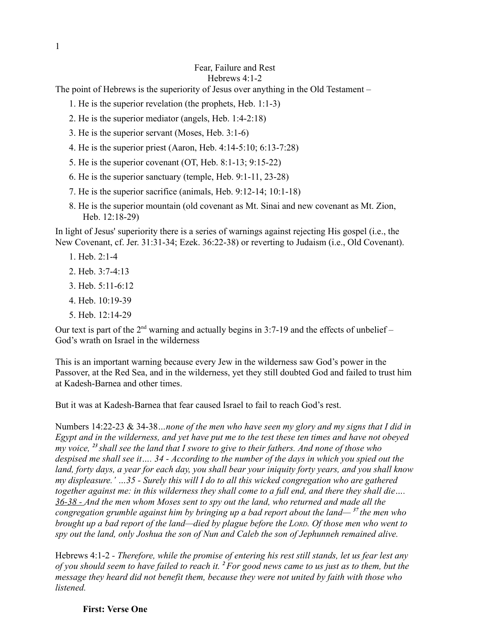Hebrews 4:1-2

The point of Hebrews is the superiority of Jesus over anything in the Old Testament –

1. He is the superior revelation (the prophets, Heb. 1:1-3)

2. He is the superior mediator (angels, Heb. 1:4-2:18)

3. He is the superior servant (Moses, Heb. 3:1-6)

4. He is the superior priest (Aaron, Heb. 4:14-5:10; 6:13-7:28)

5. He is the superior covenant (OT, Heb. 8:1-13; 9:15-22)

6. He is the superior sanctuary (temple, Heb. 9:1-11, 23-28)

7. He is the superior sacrifice (animals, Heb. 9:12-14; 10:1-18)

8. He is the superior mountain (old covenant as Mt. Sinai and new covenant as Mt. Zion, Heb. 12:18-29)

In light of Jesus' superiority there is a series of warnings against rejecting His gospel (i.e., the New Covenant, cf. Jer. 31:31-34; Ezek. 36:22-38) or reverting to Judaism (i.e., Old Covenant).

- 1. Heb. 2:1-4
- 2. Heb. 3:7-4:13
- 3. Heb. 5:11-6:12
- 4. Heb. 10:19-39
- 5. Heb. 12:14-29

Our text is part of the  $2<sup>nd</sup>$  warning and actually begins in 3:7-19 and the effects of unbelief – God's wrath on Israel in the wilderness

This is an important warning because every Jew in the wilderness saw God's power in the Passover, at the Red Sea, and in the wilderness, yet they still doubted God and failed to trust him at Kadesh-Barnea and other times.

But it was at Kadesh-Barnea that fear caused Israel to fail to reach God's rest.

Numbers 14:22-23 & 34-38*…none of the men who have seen my glory and my signs that I did in Egypt and in the wilderness, and yet have put me to the test these ten times and have not obeyed my voice, <sup>23</sup>shall see the land that I swore to give to their fathers. And none of those who despised me shall see it…. 34 - According to the number of the days in which you spied out the land, forty days, a year for each day, you shall bear your iniquity forty years, and you shall know my displeasure.' …35 - Surely this will I do to all this wicked congregation who are gathered together against me: in this wilderness they shall come to a full end, and there they shall die…. 36-38 - And the men whom Moses sent to spy out the land, who returned and made all the congregation grumble against him by bringing up a bad report about the land— <sup>37</sup>the men who brought up a bad report of the land—died by plague before the LORD. Of those men who went to spy out the land, only Joshua the son of Nun and Caleb the son of Jephunneh remained alive.*

Hebrews 4:1-2 *- Therefore, while the promise of entering his rest still stands, let us fear lest any of you should seem to have failed to reach it. <sup>2</sup>For good news came to us just as to them, but the message they heard did not benefit them, because they were not united by faith with those who listened.*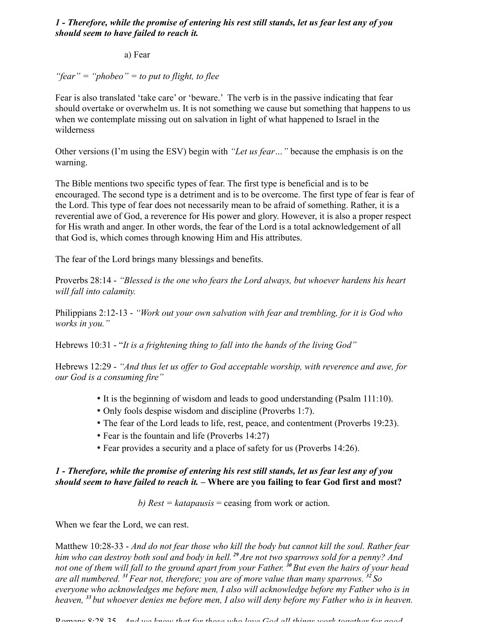## *1 - Therefore, while the promise of entering his rest still stands, let us fear lest any of you should seem to have failed to reach it.*

### a) Fear

# *"fear" = "phobeo" = to put to flight, to flee*

Fear is also translated 'take care' or 'beware.' The verb is in the passive indicating that fear should overtake or overwhelm us. It is not something we cause but something that happens to us when we contemplate missing out on salvation in light of what happened to Israel in the wilderness

Other versions (I'm using the ESV) begin with *"Let us fear…"* because the emphasis is on the warning.

The Bible mentions two specific types of fear. The first type is beneficial and is to be encouraged. The second type is a detriment and is to be overcome. The first type of fear is fear of the Lord. This type of fear does not necessarily mean to be afraid of something. Rather, it is a reverential awe of God, a reverence for His power and glory. However, it is also a proper respect for His wrath and anger. In other words, the fear of the Lord is a total acknowledgement of all that God is, which comes through knowing Him and His attributes.

The fear of the Lord brings many blessings and benefits.

Proverbs 28:14 - *"Blessed is the one who fears the Lord always, but whoever hardens his heart will fall into calamity.*

Philippians 2:12-13 - *"Work out your own salvation with fear and trembling, for it is God who works in you."*

Hebrews 10:31 - "*It is a frightening thing to fall into the hands of the living God"*

Hebrews 12:29 - *"And thus let us offer to God acceptable worship, with reverence and awe, for our God is a consuming fire"*

- It is the beginning of wisdom and leads to good understanding (Psalm 111:10).
- Only fools despise wisdom and discipline (Proverbs 1:7).
- The fear of the Lord leads to life, rest, peace, and contentment (Proverbs 19:23).
- Fear is the fountain and life (Proverbs 14:27)
- Fear provides a security and a place of safety for us (Proverbs 14:26).

## *1 - Therefore, while the promise of entering his rest still stands, let us fear lest any of you should seem to have failed to reach it. –* **Where are you failing to fear God first and most?**

*b) Rest = katapausis* = ceasing from work or action.

When we fear the Lord, we can rest.

Matthew 10:28-33 - *And do not fear those who kill the body but cannot kill the soul. Rather fear him who can destroy both soul and body in hell. <sup>29</sup>Are not two sparrows sold for a penny? And not one of them will fall to the ground apart from your Father. <sup>30</sup>But even the hairs of your head are all numbered. <sup>31</sup>Fear not, therefore; you are of more value than many sparrows. <sup>32</sup>So everyone who acknowledges me before men, I also will acknowledge before my Father who is in heaven, <sup>33</sup>but whoever denies me before men, I also will deny before my Father who is in heaven.*

Romans 8:28-35 - *And we know that for those who love God all things work together for good,*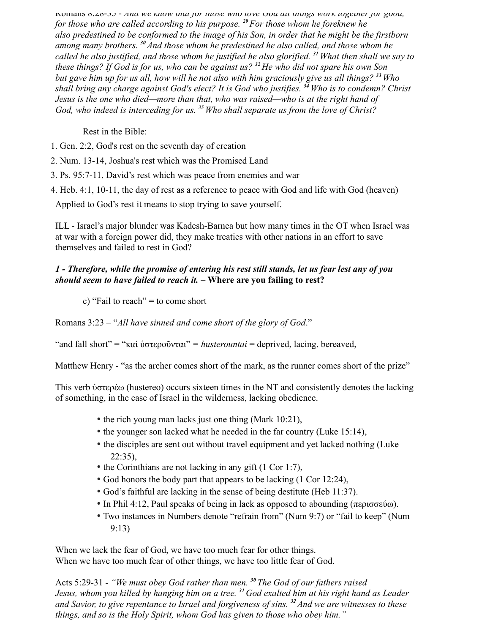Romans 8:28-35 - *And we know that for those who love God all things work together for good, for those who are called according to his purpose. <sup>29</sup>For those whom he foreknew he also predestined to be conformed to the image of his Son, in order that he might be the firstborn among many brothers. <sup>30</sup>And those whom he predestined he also called, and those whom he called he also justified, and those whom he justified he also glorified. <sup>31</sup>What then shall we say to these things? If God is for us, who can be against us? <sup>32</sup>He who did not spare his own Son but gave him up for us all, how will he not also with him graciously give us all things? <sup>33</sup>Who shall bring any charge against God's elect? It is God who justifies. <sup>34</sup>Who is to condemn? Christ Jesus is the one who died—more than that, who was raised—who is at the right hand of God, who indeed is interceding for us. <sup>35</sup>Who shall separate us from the love of Christ?*

Rest in the Bible:

1. Gen. 2:2, God's rest on the seventh day of creation

2. Num. 13-14, Joshua's rest which was the Promised Land

3. Ps. 95:7-11, David's rest which was peace from enemies and war

4. Heb. 4:1, 10-11, the day of rest as a reference to peace with God and life with God (heaven)

Applied to God's rest it means to stop trying to save yourself.

ILL - Israel's major blunder was Kadesh-Barnea but how many times in the OT when Israel was at war with a foreign power did, they make treaties with other nations in an effort to save themselves and failed to rest in God?

## *1 - Therefore, while the promise of entering his rest still stands, let us fear lest any of you should seem to have failed to reach it. –* **Where are you failing to rest?**

c) "Fail to reach" = to come short

Romans 3:23 – "*All have sinned and come short of the glory of God*."

"and fall short" = "καὶ ὑστεροῦνται" *= husterountai* = deprived, lacing, bereaved,

Matthew Henry - "as the archer comes short of the mark, as the runner comes short of the prize"

This verb ὑστερέω (hustereo) occurs sixteen times in the NT and consistently denotes the lacking of something, in the case of Israel in the wilderness, lacking obedience.

- the rich young man lacks just one thing (Mark 10:21),
- the younger son lacked what he needed in the far country (Luke 15:14),
- the disciples are sent out without travel equipment and yet lacked nothing (Luke  $22:35$ ).
- the Corinthians are not lacking in any gift (1 Cor 1:7),
- God honors the body part that appears to be lacking (1 Cor 12:24),
- God's faithful are lacking in the sense of being destitute (Heb 11:37).
- In Phil 4:12, Paul speaks of being in lack as opposed to abounding (περισσεύω).
- Two instances in Numbers denote "refrain from" (Num 9:7) or "fail to keep" (Num 9:13)

When we lack the fear of God, we have too much fear for other things. When we have too much fear of other things, we have too little fear of God.

Acts 5:29-31 - *"We must obey God rather than men. <sup>30</sup>The God of our fathers raised Jesus, whom you killed by hanging him on a tree. <sup>31</sup>God exalted him at his right hand as Leader and Savior, to give repentance to Israel and forgiveness of sins. <sup>32</sup>And we are witnesses to these things, and so is the Holy Spirit, whom God has given to those who obey him."*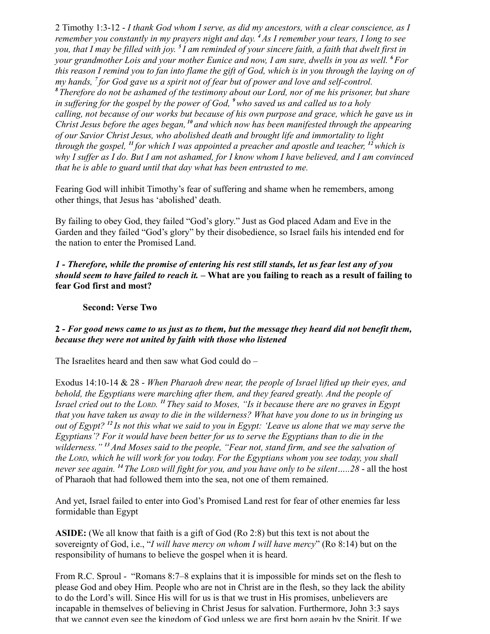2 Timothy 1:3-12 - *I thank God whom I serve, as did my ancestors, with a clear conscience, as I remember you constantly in my prayers night and day. <sup>4</sup>As I remember your tears, I long to see you, that I may be filled with joy. <sup>5</sup>I am reminded of your sincere faith, a faith that dwelt first in your grandmother Lois and your mother Eunice and now, I am sure, dwells in you as well. <sup>6</sup>For this reason I remind you to fan into flame the gift of God, which is in you through the laying on of my hands, <sup>7</sup>for God gave us a spirit not of fear but of power and love and self-control. <sup>8</sup>Therefore do not be ashamed of the testimony about our Lord, nor of me his prisoner, but share in suffering for the gospel by the power of God, <sup>9</sup>who saved us and called us to a holy calling, not because of our works but because of his own purpose and grace, which he gave us in Christ Jesus before the ages began, <sup>10</sup>and which now has been manifested through the appearing of our Savior Christ Jesus, who abolished death and brought life and immortality to light through the gospel, <sup>11</sup>for which I was appointed a preacher and apostle and teacher, <sup>12</sup>which is why I suffer as I do. But I am not ashamed, for I know whom I have believed, and I am convinced that he is able to guard until that day what has been entrusted to me.*

Fearing God will inhibit Timothy's fear of suffering and shame when he remembers, among other things, that Jesus has 'abolished' death.

By failing to obey God, they failed "God's glory." Just as God placed Adam and Eve in the Garden and they failed "God's glory" by their disobedience, so Israel fails his intended end for the nation to enter the Promised Land.

*1 - Therefore, while the promise of entering his rest still stands, let us fear lest any of you should seem to have failed to reach it. –* **What are you failing to reach as a result of failing to fear God first and most?**

### **Second: Verse Two**

### **2 -** *For good news came to us just as to them, but the message they heard did not benefit them, because they were not united by faith with those who listened*

The Israelites heard and then saw what God could do –

Exodus 14:10-14 & 28 - *When Pharaoh drew near, the people of Israel lifted up their eyes, and behold, the Egyptians were marching after them, and they feared greatly. And the people of Israel cried out to the LORD. <sup>11</sup>They said to Moses, "Is it because there are no graves in Egypt that you have taken us away to die in the wilderness? What have you done to us in bringing us out of Egypt? <sup>12</sup>Is not this what we said to you in Egypt: 'Leave us alone that we may serve the Egyptians'? For it would have been better for us to serve the Egyptians than to die in the wilderness." <sup>13</sup>And Moses said to the people, "Fear not, stand firm, and see the salvation of the LORD, which he will work for you today. For the Egyptians whom you see today, you shall never see again. <sup>14</sup>The LORD will fight for you, and you have only to be silent…..28* - all the host of Pharaoh that had followed them into the sea, not one of them remained.

And yet, Israel failed to enter into God's Promised Land rest for fear of other enemies far less formidable than Egypt

**ASIDE:** (We all know that faith is a gift of God (Ro 2:8) but this text is not about the sovereignty of God, i.e., "*I will have mercy on whom I will have mercy*" (Ro 8:14) but on the responsibility of humans to believe the gospel when it is heard.

From R.C. Sproul - "Romans 8:7–8 explains that it is impossible for minds set on the flesh to please God and obey Him. People who are not in Christ are in the flesh, so they lack the ability to do the Lord's will. Since His will for us is that we trust in His promises, unbelievers are incapable in themselves of believing in Christ Jesus for salvation. Furthermore, John 3:3 says that we cannot even see the kingdom of God unless we are first born again by the Spirit. If we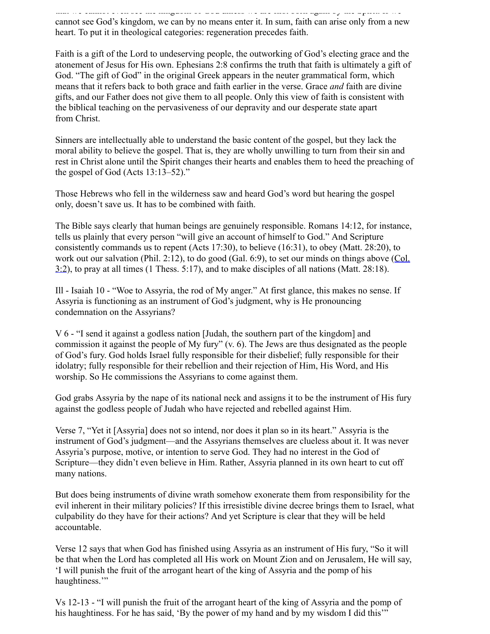that we cannot even see the kingdom of God unless we are first born again by the Spirit. If we cannot see God's kingdom, we can by no means enter it. In sum, faith can arise only from a new heart. To put it in theological categories: regeneration precedes faith.

Faith is a gift of the Lord to undeserving people, the outworking of God's electing grace and the atonement of Jesus for His own. Ephesians 2:8 confirms the truth that faith is ultimately a gift of God. "The gift of God" in the original Greek appears in the neuter grammatical form, which means that it refers back to both grace and faith earlier in the verse. Grace *and* faith are divine gifts, and our Father does not give them to all people. Only this view of faith is consistent with the biblical teaching on the pervasiveness of our depravity and our desperate state apart from Christ.

Sinners are intellectually able to understand the basic content of the gospel, but they lack the moral ability to believe the gospel. That is, they are wholly unwilling to turn from their sin and rest in Christ alone until the Spirit changes their hearts and enables them to heed the preaching of the gospel of God (Acts 13:13–52)."

Those Hebrews who fell in the wilderness saw and heard God's word but hearing the gospel only, doesn't save us. It has to be combined with faith.

The Bible says clearly that human beings are genuinely responsible. Romans 14:12, for instance, tells us plainly that every person "will give an account of himself to God." And Scripture consistently commands us to repent (Acts 17:30), to believe (16:31), to obey (Matt. 28:20), to work out our salvation (Phil. 2:12), to do good (Gal. 6:9), to set our minds on things above (Col. 3:2), to pray at all times (1 Thess. 5:17), and to make disciples of all nations (Matt. 28:18).

Ill - Isaiah 10 - "Woe to Assyria, the rod of My anger." At first glance, this makes no sense. If Assyria is functioning as an instrument of God's judgment, why is He pronouncing condemnation on the Assyrians?

V 6 - "I send it against a godless nation [Judah, the southern part of the kingdom] and commission it against the people of My fury" (v. 6). The Jews are thus designated as the people of God's fury. God holds Israel fully responsible for their disbelief; fully responsible for their idolatry; fully responsible for their rebellion and their rejection of Him, His Word, and His worship. So He commissions the Assyrians to come against them.

God grabs Assyria by the nape of its national neck and assigns it to be the instrument of His fury against the godless people of Judah who have rejected and rebelled against Him.

Verse 7, "Yet it [Assyria] does not so intend, nor does it plan so in its heart." Assyria is the instrument of God's judgment—and the Assyrians themselves are clueless about it. It was never Assyria's purpose, motive, or intention to serve God. They had no interest in the God of Scripture—they didn't even believe in Him. Rather, Assyria planned in its own heart to cut off many nations.

But does being instruments of divine wrath somehow exonerate them from responsibility for the evil inherent in their military policies? If this irresistible divine decree brings them to Israel, what culpability do they have for their actions? And yet Scripture is clear that they will be held accountable.

Verse 12 says that when God has finished using Assyria as an instrument of His fury, "So it will be that when the Lord has completed all His work on Mount Zion and on Jerusalem, He will say, 'I will punish the fruit of the arrogant heart of the king of Assyria and the pomp of his haughtiness."

Vs 12-13 - "I will punish the fruit of the arrogant heart of the king of Assyria and the pomp of his haughtiness. For he has said, 'By the power of my hand and by my wisdom I did this'"